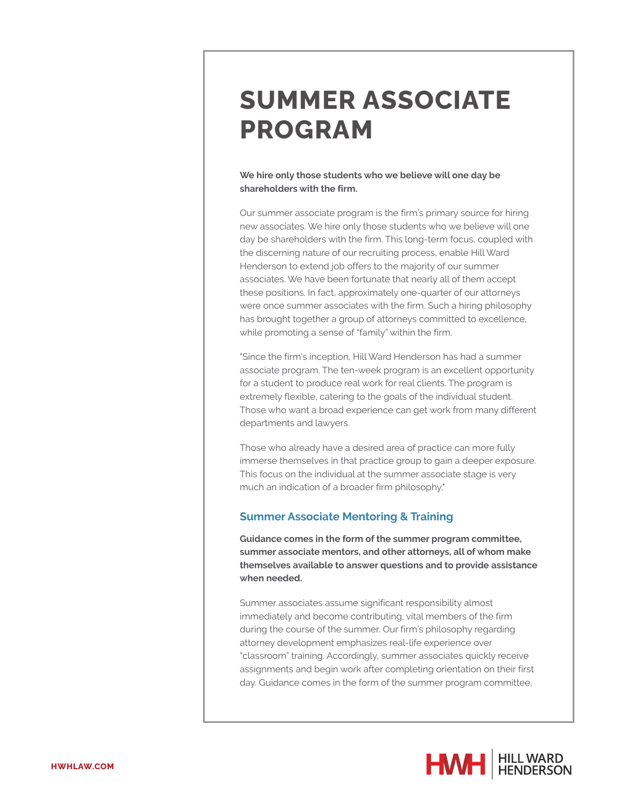# **SUMMER ASSOCIATE PROGRAM**

### **We hire only those students who we believe will one day be shareholders with the firm.**

Our summer associate program is the firm's primary source for hiring new associates. We hire only those students who we believe will one day be shareholders with the firm. This long-term focus, coupled with the discerning nature of our recruiting process, enable Hill Ward Henderson to extend job offers to the majority of our summer associates. We have been fortunate that nearly all of them accept these positions. In fact, approximately one-quarter of our attorneys were once summer associates with the firm. Such a hiring philosophy has brought together a group of attorneys committed to excellence, while promoting a sense of "family" within the firm.

"Since the firm's inception, Hill Ward Henderson has had a summer associate program. The ten-week program is an excellent opportunity for a student to produce real work for real clients. The program is extremely flexible, catering to the goals of the individual student. Those who want a broad experience can get work from many different departments and lawyers.

Those who already have a desired area of practice can more fully immerse themselves in that practice group to gain a deeper exposure. This focus on the individual at the summer associate stage is very much an indication of a broader firm philosophy."

## **Summer Associate Mentoring & Training**

**Guidance comes in the form of the summer program committee, summer associate mentors, and other attorneys, all of whom make themselves available to answer questions and to provide assistance when needed.**

Summer associates assume significant responsibility almost immediately and become contributing, vital members of the firm during the course of the summer. Our firm's philosophy regarding attorney development emphasizes real-life experience over "classroom" training. Accordingly, summer associates quickly receive assignments and begin work after completing orientation on their first day. Guidance comes in the form of the summer program committee,